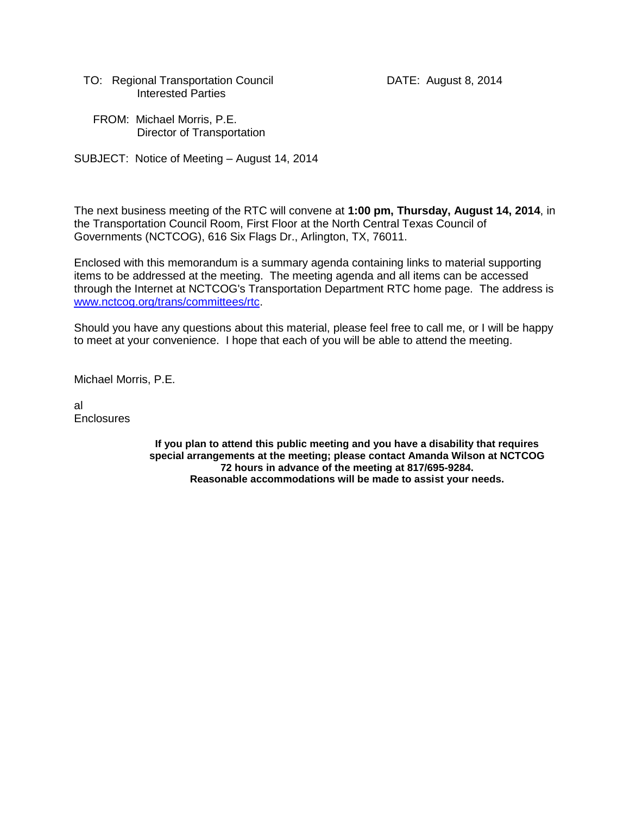TO: Regional Transportation Council **DATE:** August 8, 2014 Interested Parties

 FROM: Michael Morris, P.E. Director of Transportation

SUBJECT: Notice of Meeting – August 14, 2014

The next business meeting of the RTC will convene at **1:00 pm, Thursday, August 14, 2014**, in the Transportation Council Room, First Floor at the North Central Texas Council of Governments (NCTCOG), 616 Six Flags Dr., Arlington, TX, 76011.

Enclosed with this memorandum is a summary agenda containing links to material supporting items to be addressed at the meeting. The meeting agenda and all items can be accessed through the Internet at NCTCOG's Transportation Department RTC home page. The address is [www.nctcog.org/trans/committees/rtc.](http://www.nctcog.org/trans/committees/rtc)

Should you have any questions about this material, please feel free to call me, or I will be happy to meet at your convenience. I hope that each of you will be able to attend the meeting.

Michael Morris, P.E.

al **Enclosures** 

> **If you plan to attend this public meeting and you have a disability that requires special arrangements at the meeting; please contact Amanda Wilson at NCTCOG 72 hours in advance of the meeting at 817/695-9284. Reasonable accommodations will be made to assist your needs.**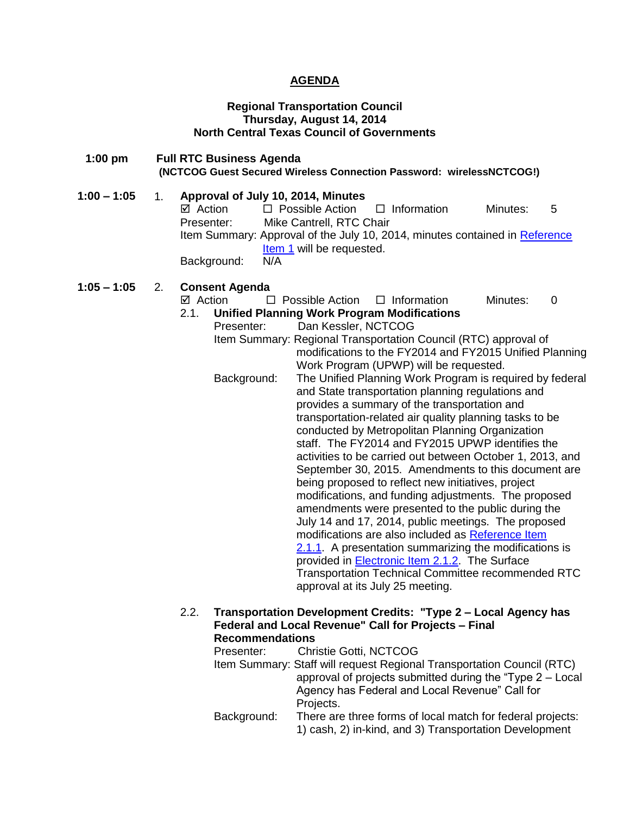## **AGENDA**

#### **Regional Transportation Council Thursday, August 14, 2014 North Central Texas Council of Governments**

- **1:00 pm Full RTC Business Agenda (NCTCOG Guest Secured Wireless Connection Password: wirelessNCTCOG!)**
- **1:00 – 1:05** 1. **Approval of July 10, 2014, Minutes** Action Possible Action Information Minutes: 5 Presenter: Mike Cantrell, RTC Chair Item Summary: Approval of the July 10, 2014, minutes contained in [Reference](http://www.nctcog.org/trans/committees/rtc/2014/08Aug/Ref.Itm_1.rtc081414_000.pdf)  [Item 1](http://www.nctcog.org/trans/committees/rtc/2014/08Aug/Ref.Itm_1.rtc081414_000.pdf) will be requested. Background: N/A

# **1:05 – 1:05** 2. **Consent Agenda**

- $\boxtimes$  Action  $\Box$  Possible Action  $\Box$  Information Minutes: 0 2.1. **Unified Planning Work Program Modifications**
	- Presenter: Dan Kessler, NCTCOG
	- Item Summary: Regional Transportation Council (RTC) approval of modifications to the FY2014 and FY2015 Unified Planning Work Program (UPWP) will be requested.
	- Background: The Unified Planning Work Program is required by federal and State transportation planning regulations and provides a summary of the transportation and transportation-related air quality planning tasks to be conducted by Metropolitan Planning Organization staff. The FY2014 and FY2015 UPWP identifies the activities to be carried out between October 1, 2013, and September 30, 2015. Amendments to this document are being proposed to reflect new initiatives, project modifications, and funding adjustments. The proposed amendments were presented to the public during the July 14 and 17, 2014, public meetings. The proposed modifications are also included as [Reference Item](http://www.nctcog.org/trans/committees/rtc/2014/08Aug/Ref.Itm_2.1.1.rtc081414.pdf)  [2.1.1.](http://www.nctcog.org/trans/committees/rtc/2014/08Aug/Ref.Itm_2.1.1.rtc081414.pdf) A presentation summarizing the modifications is provided in [Electronic Item 2.1.2.](http://www.nctcog.org/trans/committees/rtc/2014/08Aug/Ref.Itm_2.1.2.rtc081414.pdf) The Surface Transportation Technical Committee recommended RTC approval at its July 25 meeting.
- 2.2. **Transportation Development Credits: "Type 2 – Local Agency has Federal and Local Revenue" Call for Projects – Final Recommendations**

| Presenter:  | <b>Christie Gotti, NCTCOG</b>                                          |
|-------------|------------------------------------------------------------------------|
|             | Item Summary: Staff will request Regional Transportation Council (RTC) |
|             | approval of projects submitted during the "Type $2 -$ Local            |
|             | Agency has Federal and Local Revenue" Call for                         |
|             | Projects.                                                              |
| Background: | There are three forms of local match for federal projects:             |
|             | 1) cash, 2) in-kind, and 3) Transportation Development                 |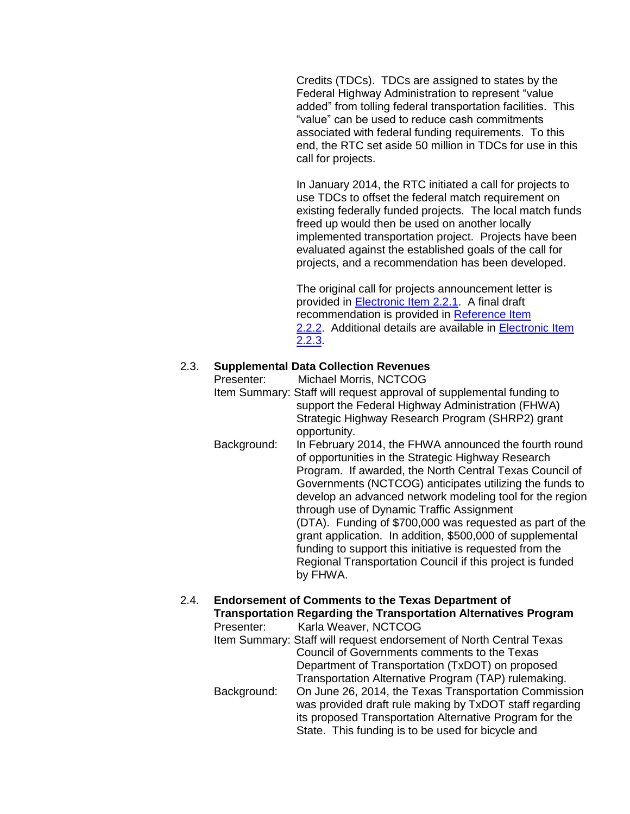Credits (TDCs). TDCs are assigned to states by the Federal Highway Administration to represent "value added" from tolling federal transportation facilities. This "value" can be used to reduce cash commitments associated with federal funding requirements. To this end, the RTC set aside 50 million in TDCs for use in this call for projects.

In January 2014, the RTC initiated a call for projects to use TDCs to offset the federal match requirement on existing federally funded projects. The local match funds freed up would then be used on another locally implemented transportation project. Projects have been evaluated against the established goals of the call for projects, and a recommendation has been developed.

The original call for projects announcement letter is provided in [Electronic Item 2.2.1.](http://www.nctcog.org/trans/committees/rtc/2014/08Aug/Ref.Itm_2.2.1.rtc081414.pdf) A final draft recommendation is provided in [Reference Item](http://www.nctcog.org/trans/committees/rtc/2014/08Aug/Ref.Itm_2.2.2.rtc081414.pdf)  [2.2.2.](http://www.nctcog.org/trans/committees/rtc/2014/08Aug/Ref.Itm_2.2.2.rtc081414.pdf) Additional details are available in [Electronic Item](http://www.nctcog.org/trans/committees/rtc/2014/08Aug/Ref.Itm_2.2.3.rtc081414.pdf)  [2.2.3.](http://www.nctcog.org/trans/committees/rtc/2014/08Aug/Ref.Itm_2.2.3.rtc081414.pdf)

## 2.3. **Supplemental Data Collection Revenues**

Presenter: Michael Morris, NCTCOG

- Item Summary: Staff will request approval of supplemental funding to support the Federal Highway Administration (FHWA) Strategic Highway Research Program (SHRP2) grant opportunity.
- Background: In February 2014, the FHWA announced the fourth round of opportunities in the Strategic Highway Research Program. If awarded, the North Central Texas Council of Governments (NCTCOG) anticipates utilizing the funds to develop an advanced network modeling tool for the region through use of Dynamic Traffic Assignment (DTA). Funding of \$700,000 was requested as part of the grant application. In addition, \$500,000 of supplemental funding to support this initiative is requested from the Regional Transportation Council if this project is funded by FHWA.

# 2.4. **Endorsement of Comments to the Texas Department of Transportation Regarding the Transportation Alternatives Program**

Presenter: Karla Weaver, NCTCOG Item Summary: Staff will request endorsement of North Central Texas Council of Governments comments to the Texas Department of Transportation (TxDOT) on proposed Transportation Alternative Program (TAP) rulemaking. Background: On June 26, 2014, the Texas Transportation Commission was provided draft rule making by TxDOT staff regarding its proposed Transportation Alternative Program for the State. This funding is to be used for bicycle and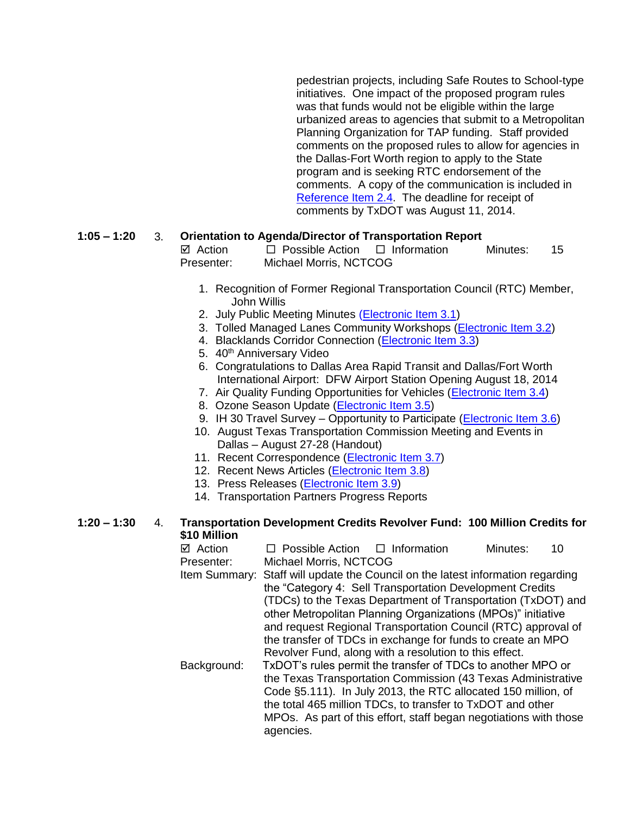pedestrian projects, including Safe Routes to School-type initiatives. One impact of the proposed program rules was that funds would not be eligible within the large urbanized areas to agencies that submit to a Metropolitan Planning Organization for TAP funding. Staff provided comments on the proposed rules to allow for agencies in the Dallas-Fort Worth region to apply to the State program and is seeking RTC endorsement of the comments. A copy of the communication is included in [Reference Item 2.4.](http://www.nctcog.org/trans/committees/rtc/2014/08Aug/Ref.Itm_2.4.rtc081414.pdf) The deadline for receipt of comments by TxDOT was August 11, 2014.

## **1:05 – 1:20** 3. **Orientation to Agenda/Director of Transportation Report**

 $\boxtimes$  Action  $\Box$  Possible Action  $\Box$  Information Minutes: 15 Presenter: Michael Morris, NCTCOG

- 1. Recognition of Former Regional Transportation Council (RTC) Member, John Willis
- 2. July Public Meeting Minutes [\(Electronic Item 3.1\)](http://www.nctcog.org/trans/committees/rtc/2014/08Aug/Ref.Itm_3.1.rtc081414.pdf)
- 3. Tolled Managed Lanes Community Workshops [\(Electronic Item 3.2\)](http://www.nctcog.org/trans/committees/rtc/2014/08Aug/Ref.Itm_3.2.rtc081414.pdf)
- 4. Blacklands Corridor Connection [\(Electronic Item 3.3\)](http://www.nctcog.org/trans/committees/rtc/2014/08Aug/Ref.Itm_3.3.rtc081414.pdf)
- 5. 40<sup>th</sup> Anniversary Video
- 6. Congratulations to Dallas Area Rapid Transit and Dallas/Fort Worth International Airport: DFW Airport Station Opening August 18, 2014
- 7. Air Quality Funding Opportunities for Vehicles [\(Electronic Item 3.4\)](http://www.nctcog.org/trans/air/vehicles/investments/funding/VehicleFundingOpportunities.asp)
- 8. Ozone Season Update [\(Electronic Item 3.5\)](http://www.nctcog.org/trans/committees/rtc/2014/08Aug/Ref.Itm_3.5.rtc081414.pdf)
- 9. IH 30 Travel Survey Opportunity to Participate [\(Electronic Item 3.6\)](http://www.nctcog.org/trans/committees/rtc/2014/08Aug/Ref.Itm_3.6.rtc081414.pdf)
- 10. August Texas Transportation Commission Meeting and Events in Dallas – August 27-28 (Handout)
- 11. Recent Correspondence [\(Electronic Item 3.7\)](http://www.nctcog.org/trans/committees/rtc/2014/08Aug/Ref.Itm_3.7.rtc081414.pdf)
- 12. Recent News Articles [\(Electronic Item 3.8\)](http://www.nctcog.org/trans/committees/rtc/2014/08Aug/Ref.Itm_3.8.rtc081414.pdf)
- 13. Press Releases [\(Electronic Item 3.9\)](http://www.nctcog.org/trans/committees/rtc/2014/08Aug/Ref.Itm_3.9.rtc081414.pdf)
- 14. Transportation Partners Progress Reports

#### **1:20 – 1:30** 4. **Transportation Development Credits Revolver Fund: 100 Million Credits for \$10 Million**

| ⊠ Action    | $\Box$ Possible Action $\Box$ Information                                       |  | Minutes: | 10 |  |
|-------------|---------------------------------------------------------------------------------|--|----------|----|--|
| Presenter:  | Michael Morris, NCTCOG                                                          |  |          |    |  |
|             | Item Summary: Staff will update the Council on the latest information regarding |  |          |    |  |
|             | the "Category 4: Sell Transportation Development Credits                        |  |          |    |  |
|             | (TDCs) to the Texas Department of Transportation (TxDOT) and                    |  |          |    |  |
|             | other Metropolitan Planning Organizations (MPOs)" initiative                    |  |          |    |  |
|             | and request Regional Transportation Council (RTC) approval of                   |  |          |    |  |
|             | the transfer of TDCs in exchange for funds to create an MPO                     |  |          |    |  |
|             | Revolver Fund, along with a resolution to this effect.                          |  |          |    |  |
| Background: | TxDOT's rules permit the transfer of TDCs to another MPO or                     |  |          |    |  |
|             | the Texas Transportation Commission (43 Texas Administrative                    |  |          |    |  |
|             | Code §5.111). In July 2013, the RTC allocated 150 million, of                   |  |          |    |  |
|             | the total 465 million TDCs, to transfer to TxDOT and other                      |  |          |    |  |
|             | MPOs. As part of this effort, staff began negotiations with those               |  |          |    |  |
|             | agencies.                                                                       |  |          |    |  |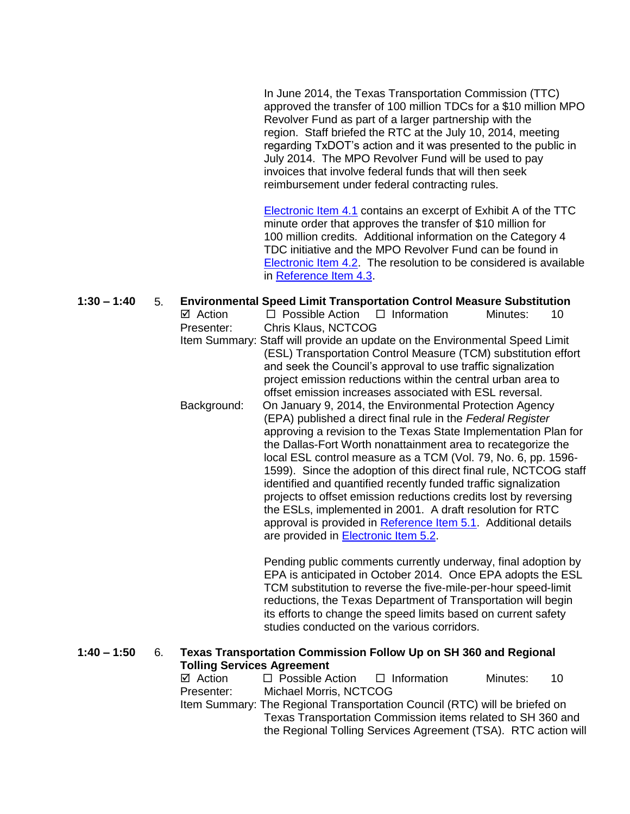In June 2014, the Texas Transportation Commission (TTC) approved the transfer of 100 million TDCs for a \$10 million MPO Revolver Fund as part of a larger partnership with the region. Staff briefed the RTC at the July 10, 2014, meeting regarding TxDOT's action and it was presented to the public in July 2014. The MPO Revolver Fund will be used to pay invoices that involve federal funds that will then seek reimbursement under federal contracting rules.

[Electronic Item 4.1](http://www.nctcog.org/trans/committees/rtc/2014/08Aug/Ref.Itm_4.1.rtc081414.pdf) contains an excerpt of Exhibit A of the TTC minute order that approves the transfer of \$10 million for 100 million credits. Additional information on the Category 4 TDC initiative and the MPO Revolver Fund can be found in [Electronic Item](http://www.nctcog.org/trans/committees/rtc/2014/08Aug/Ref.Itm_4.2.rtc081414.pdf) 4.2. The resolution to be considered is available in [Reference Item 4.3.](http://www.nctcog.org/trans/committees/rtc/2014/08Aug/Ref.Itm_4.3.rtc081414.pdf)

# **1:30 – 1:40** 5. **Environmental Speed Limit Transportation Control Measure Substitution**  $\boxtimes$  Action  $\Box$  Possible Action  $\Box$  Information Minutes: 10 Presenter: Chris Klaus, NCTCOG Item Summary: Staff will provide an update on the Environmental Speed Limit (ESL) Transportation Control Measure (TCM) substitution effort and seek the Council's approval to use traffic signalization project emission reductions within the central urban area to offset emission increases associated with ESL reversal. Background: On January 9, 2014, the Environmental Protection Agency (EPA) published a direct final rule in the *Federal Register* approving a revision to the Texas State Implementation Plan for the Dallas-Fort Worth nonattainment area to recategorize the local ESL control measure as a TCM (Vol. 79, No. 6, pp. 1596- 1599). Since the adoption of this direct final rule, NCTCOG staff identified and quantified recently funded traffic signalization projects to offset emission reductions credits lost by reversing the ESLs, implemented in 2001. A draft resolution for RTC approval is provided in [Reference Item 5.1.](http://www.nctcog.org/trans/committees/rtc/2014/08Aug/Ref.Itm_5.1.rtc081414.pdf) Additional details are provided in [Electronic Item 5.2.](http://www.nctcog.org/trans/committees/rtc/2014/08Aug/Ref.Itm_5.2.rtc081414.pdf) Pending public comments currently underway, final adoption by EPA is anticipated in October 2014. Once EPA adopts the ESL TCM substitution to reverse the five-mile-per-hour speed-limit reductions, the Texas Department of Transportation will begin its efforts to change the speed limits based on current safety

#### **1:40 – 1:50** 6. **Texas Transportation Commission Follow Up on SH 360 and Regional Tolling Services Agreement**

 $\boxtimes$  Action  $\Box$  Possible Action  $\Box$  Information Minutes: 10 Presenter: Michael Morris, NCTCOG Item Summary: The Regional Transportation Council (RTC) will be briefed on Texas Transportation Commission items related to SH 360 and the Regional Tolling Services Agreement (TSA). RTC action will

studies conducted on the various corridors.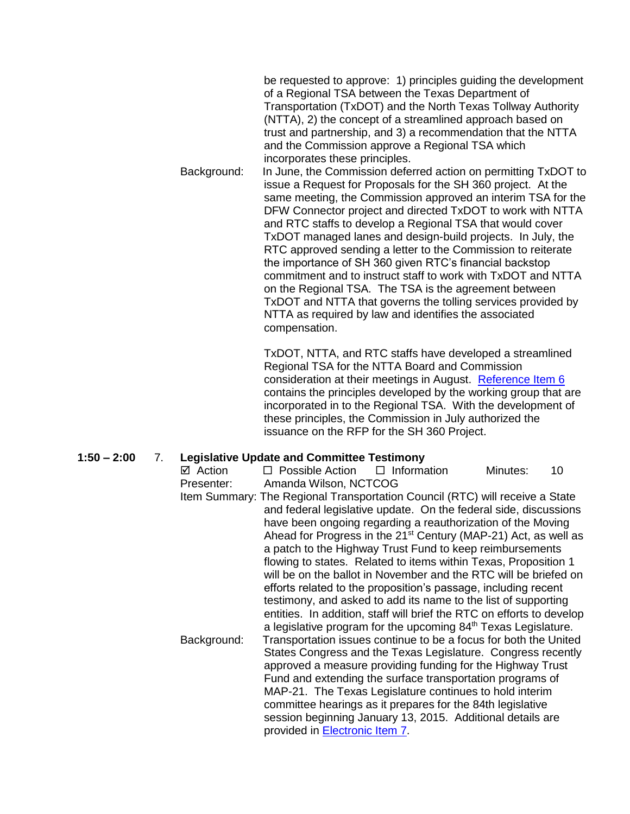be requested to approve: 1) principles guiding the development of a Regional TSA between the Texas Department of Transportation (TxDOT) and the North Texas Tollway Authority (NTTA), 2) the concept of a streamlined approach based on trust and partnership, and 3) a recommendation that the NTTA and the Commission approve a Regional TSA which incorporates these principles.

Background: In June, the Commission deferred action on permitting TxDOT to issue a Request for Proposals for the SH 360 project. At the same meeting, the Commission approved an interim TSA for the DFW Connector project and directed TxDOT to work with NTTA and RTC staffs to develop a Regional TSA that would cover TxDOT managed lanes and design-build projects. In July, the RTC approved sending a letter to the Commission to reiterate the importance of SH 360 given RTC's financial backstop commitment and to instruct staff to work with TxDOT and NTTA on the Regional TSA. The TSA is the agreement between TxDOT and NTTA that governs the tolling services provided by NTTA as required by law and identifies the associated compensation.

> TxDOT, NTTA, and RTC staffs have developed a streamlined Regional TSA for the NTTA Board and Commission consideration at their meetings in August. [Reference Item 6](http://www.nctcog.org/trans/committees/rtc/2014/08Aug/Ref.Itm_6.rtc081414.pdf) contains the principles developed by the working group that are incorporated in to the Regional TSA. With the development of these principles, the Commission in July authorized the issuance on the RFP for the SH 360 Project.

# **1:50 – 2:00** 7. **Legislative Update and Committee Testimony**

 $\boxtimes$  Action  $\Box$  Possible Action  $\Box$  Information Minutes: 10 Presenter: Amanda Wilson, NCTCOG Item Summary: The Regional Transportation Council (RTC) will receive a State and federal legislative update. On the federal side, discussions have been ongoing regarding a reauthorization of the Moving Ahead for Progress in the  $21<sup>st</sup>$  Century (MAP-21) Act, as well as a patch to the Highway Trust Fund to keep reimbursements flowing to states. Related to items within Texas, Proposition 1 will be on the ballot in November and the RTC will be briefed on efforts related to the proposition's passage, including recent testimony, and asked to add its name to the list of supporting entities. In addition, staff will brief the RTC on efforts to develop a legislative program for the upcoming 84<sup>th</sup> Texas Legislature. Background: Transportation issues continue to be a focus for both the United States Congress and the Texas Legislature. Congress recently approved a measure providing funding for the Highway Trust Fund and extending the surface transportation programs of MAP-21. The Texas Legislature continues to hold interim committee hearings as it prepares for the 84th legislative session beginning January 13, 2015. Additional details are provided in [Electronic Item 7.](http://www.nctcog.org/trans/committees/rtc/2014/08Aug/Ref.Itm_7.rtc081414.pdf)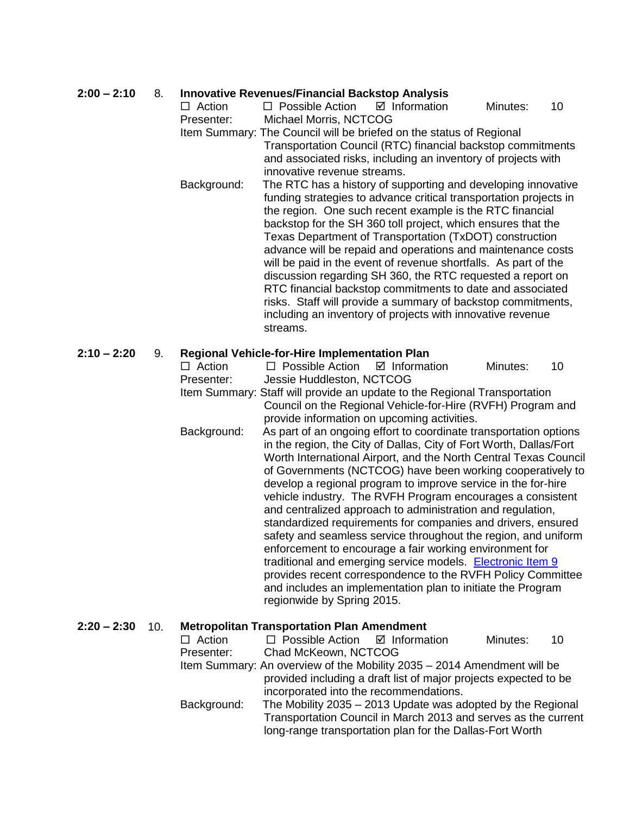# **2:00 – 2:10** 8. **Innovative Revenues/Financial Backstop Analysis**

| $2:00 - 2:10$ | ୪.  | $\Box$ Action | <b>Innovative Revenues/Financial Backstop Analysis</b><br>$\Box$ Possible Action | ☑ Information                                                                                                              | Minutes: | 10 |
|---------------|-----|---------------|----------------------------------------------------------------------------------|----------------------------------------------------------------------------------------------------------------------------|----------|----|
|               |     | Presenter:    | Michael Morris, NCTCOG                                                           |                                                                                                                            |          |    |
|               |     |               |                                                                                  | Item Summary: The Council will be briefed on the status of Regional                                                        |          |    |
|               |     |               |                                                                                  | Transportation Council (RTC) financial backstop commitments                                                                |          |    |
|               |     |               |                                                                                  | and associated risks, including an inventory of projects with                                                              |          |    |
|               |     |               | innovative revenue streams.                                                      |                                                                                                                            |          |    |
|               |     | Background:   |                                                                                  | The RTC has a history of supporting and developing innovative                                                              |          |    |
|               |     |               |                                                                                  | funding strategies to advance critical transportation projects in                                                          |          |    |
|               |     |               |                                                                                  | the region. One such recent example is the RTC financial                                                                   |          |    |
|               |     |               |                                                                                  | backstop for the SH 360 toll project, which ensures that the                                                               |          |    |
|               |     |               |                                                                                  | Texas Department of Transportation (TxDOT) construction                                                                    |          |    |
|               |     |               |                                                                                  | advance will be repaid and operations and maintenance costs                                                                |          |    |
|               |     |               |                                                                                  | will be paid in the event of revenue shortfalls. As part of the                                                            |          |    |
|               |     |               |                                                                                  | discussion regarding SH 360, the RTC requested a report on                                                                 |          |    |
|               |     |               |                                                                                  | RTC financial backstop commitments to date and associated                                                                  |          |    |
|               |     |               |                                                                                  | risks. Staff will provide a summary of backstop commitments,                                                               |          |    |
|               |     |               | streams.                                                                         | including an inventory of projects with innovative revenue                                                                 |          |    |
|               |     |               |                                                                                  |                                                                                                                            |          |    |
| $2:10 - 2:20$ | 9.  |               | <b>Regional Vehicle-for-Hire Implementation Plan</b>                             |                                                                                                                            |          |    |
|               |     | $\Box$ Action | $\Box$ Possible Action                                                           | $\boxtimes$ Information                                                                                                    | Minutes: | 10 |
|               |     | Presenter:    | Jessie Huddleston, NCTCOG                                                        |                                                                                                                            |          |    |
|               |     |               |                                                                                  | Item Summary: Staff will provide an update to the Regional Transportation                                                  |          |    |
|               |     |               |                                                                                  | Council on the Regional Vehicle-for-Hire (RVFH) Program and                                                                |          |    |
|               |     |               |                                                                                  | provide information on upcoming activities.                                                                                |          |    |
|               |     | Background:   |                                                                                  | As part of an ongoing effort to coordinate transportation options                                                          |          |    |
|               |     |               |                                                                                  | in the region, the City of Dallas, City of Fort Worth, Dallas/Fort                                                         |          |    |
|               |     |               |                                                                                  | Worth International Airport, and the North Central Texas Council                                                           |          |    |
|               |     |               |                                                                                  | of Governments (NCTCOG) have been working cooperatively to                                                                 |          |    |
|               |     |               |                                                                                  | develop a regional program to improve service in the for-hire                                                              |          |    |
|               |     |               |                                                                                  | vehicle industry. The RVFH Program encourages a consistent                                                                 |          |    |
|               |     |               |                                                                                  | and centralized approach to administration and regulation,<br>standardized requirements for companies and drivers, ensured |          |    |
|               |     |               |                                                                                  | safety and seamless service throughout the region, and uniform                                                             |          |    |
|               |     |               |                                                                                  | enforcement to encourage a fair working environment for                                                                    |          |    |
|               |     |               |                                                                                  | traditional and emerging service models. Electronic Item 9                                                                 |          |    |
|               |     |               |                                                                                  | provides recent correspondence to the RVFH Policy Committee                                                                |          |    |
|               |     |               |                                                                                  | and includes an implementation plan to initiate the Program                                                                |          |    |
|               |     |               | regionwide by Spring 2015.                                                       |                                                                                                                            |          |    |
|               |     |               |                                                                                  |                                                                                                                            |          |    |
| $2:20 - 2:30$ | 10. |               | <b>Metropolitan Transportation Plan Amendment</b>                                |                                                                                                                            |          |    |

| $\Box$ Action | $\Box$ Possible Action $\Box$ Information                               |  | Minutes: | 10 |
|---------------|-------------------------------------------------------------------------|--|----------|----|
| Presenter:    | Chad McKeown, NCTCOG                                                    |  |          |    |
|               | Item Summary: An overview of the Mobility 2035 - 2014 Amendment will be |  |          |    |
|               | provided including a draft list of major projects expected to be        |  |          |    |
|               | incorporated into the recommendations.                                  |  |          |    |
| Background:   | The Mobility 2035 - 2013 Update was adopted by the Regional             |  |          |    |
|               | Transportation Council in March 2013 and serves as the current          |  |          |    |
|               | long-range transportation plan for the Dallas-Fort Worth                |  |          |    |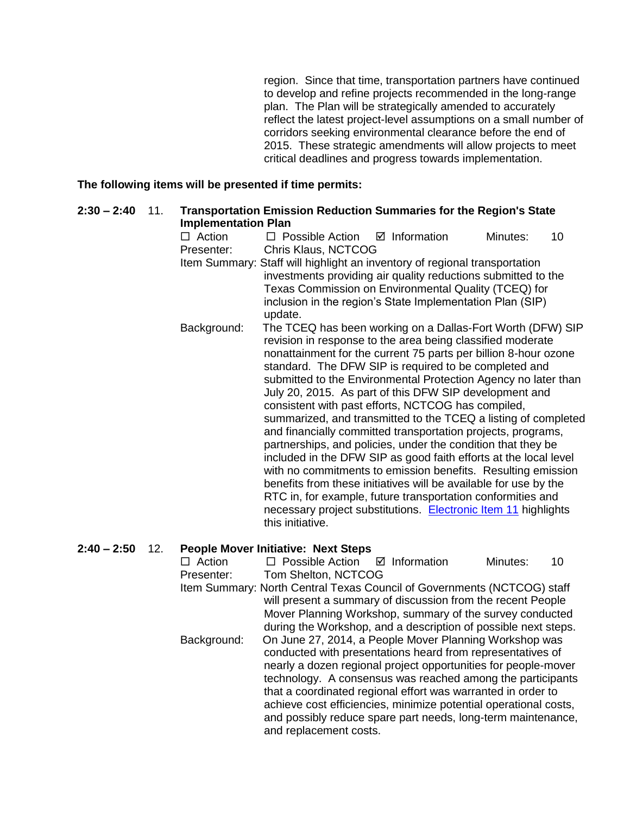region. Since that time, transportation partners have continued to develop and refine projects recommended in the long-range plan. The Plan will be strategically amended to accurately reflect the latest project-level assumptions on a small number of corridors seeking environmental clearance before the end of 2015. These strategic amendments will allow projects to meet critical deadlines and progress towards implementation.

#### **The following items will be presented if time permits:**

| $2:30 - 2:40$ | 11. | <b>Implementation Plan</b> | <b>Transportation Emission Reduction Summaries for the Region's State</b>                                                                                                                                                                                                                                                                                                                                                                                                                                                                                                                                                                                                                                                                                                                                                                                                                                                                                                                             |  |  |  |  |
|---------------|-----|----------------------------|-------------------------------------------------------------------------------------------------------------------------------------------------------------------------------------------------------------------------------------------------------------------------------------------------------------------------------------------------------------------------------------------------------------------------------------------------------------------------------------------------------------------------------------------------------------------------------------------------------------------------------------------------------------------------------------------------------------------------------------------------------------------------------------------------------------------------------------------------------------------------------------------------------------------------------------------------------------------------------------------------------|--|--|--|--|
|               |     | $\Box$ Action              | $\boxtimes$ Information<br>$\Box$ Possible Action<br>Minutes:<br>10                                                                                                                                                                                                                                                                                                                                                                                                                                                                                                                                                                                                                                                                                                                                                                                                                                                                                                                                   |  |  |  |  |
|               |     | Presenter:                 | Chris Klaus, NCTCOG                                                                                                                                                                                                                                                                                                                                                                                                                                                                                                                                                                                                                                                                                                                                                                                                                                                                                                                                                                                   |  |  |  |  |
|               |     |                            | Item Summary: Staff will highlight an inventory of regional transportation<br>investments providing air quality reductions submitted to the<br>Texas Commission on Environmental Quality (TCEQ) for<br>inclusion in the region's State Implementation Plan (SIP)<br>update.                                                                                                                                                                                                                                                                                                                                                                                                                                                                                                                                                                                                                                                                                                                           |  |  |  |  |
|               |     | Background:                | The TCEQ has been working on a Dallas-Fort Worth (DFW) SIP<br>revision in response to the area being classified moderate<br>nonattainment for the current 75 parts per billion 8-hour ozone<br>standard. The DFW SIP is required to be completed and<br>submitted to the Environmental Protection Agency no later than<br>July 20, 2015. As part of this DFW SIP development and<br>consistent with past efforts, NCTCOG has compiled,<br>summarized, and transmitted to the TCEQ a listing of completed<br>and financially committed transportation projects, programs,<br>partnerships, and policies, under the condition that they be<br>included in the DFW SIP as good faith efforts at the local level<br>with no commitments to emission benefits. Resulting emission<br>benefits from these initiatives will be available for use by the<br>RTC in, for example, future transportation conformities and<br>necessary project substitutions. Electronic Item 11 highlights<br>this initiative. |  |  |  |  |
| $2:40 - 2:50$ | 12. |                            | <b>People Mover Initiative: Next Steps</b>                                                                                                                                                                                                                                                                                                                                                                                                                                                                                                                                                                                                                                                                                                                                                                                                                                                                                                                                                            |  |  |  |  |
|               |     | $\Box$ Action              | $\Box$ Poesible Action $\Box$ Information<br>1 <sub>0</sub><br>Minutae:                                                                                                                                                                                                                                                                                                                                                                                                                                                                                                                                                                                                                                                                                                                                                                                                                                                                                                                               |  |  |  |  |

 Action Possible Action Information Minutes: 10 Presenter: Tom Shelton, NCTCOG Item Summary: North Central Texas Council of Governments (NCTCOG) staff will present a summary of discussion from the recent People Mover Planning Workshop, summary of the survey conducted during the Workshop, and a description of possible next steps. Background: On June 27, 2014, a People Mover Planning Workshop was conducted with presentations heard from representatives of nearly a dozen regional project opportunities for people-mover technology. A consensus was reached among the participants that a coordinated regional effort was warranted in order to achieve cost efficiencies, minimize potential operational costs, and possibly reduce spare part needs, long-term maintenance, and replacement costs.